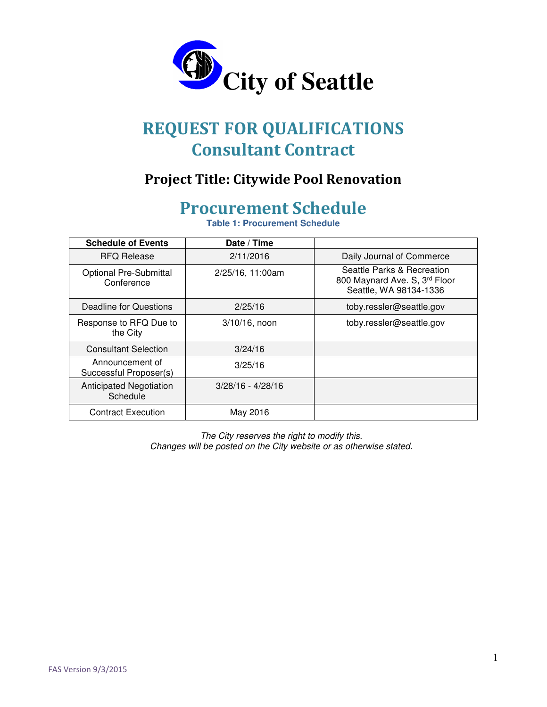

# REQUEST FOR QUALIFICATIONS Consultant Contract

### Project Title: Citywide Pool Renovation

# Procurement Schedule

**Table 1: Procurement Schedule**

| <b>Schedule of Events</b>                   | Date / Time         |                                                                                       |
|---------------------------------------------|---------------------|---------------------------------------------------------------------------------------|
| <b>RFQ Release</b>                          | 2/11/2016           | Daily Journal of Commerce                                                             |
| <b>Optional Pre-Submittal</b><br>Conference | 2/25/16, 11:00am    | Seattle Parks & Recreation<br>800 Maynard Ave. S, 3rd Floor<br>Seattle, WA 98134-1336 |
| Deadline for Questions                      | 2/25/16             | toby.ressler@seattle.gov                                                              |
| Response to RFQ Due to<br>the City          | $3/10/16$ , noon    | toby.ressler@seattle.gov                                                              |
| <b>Consultant Selection</b>                 | 3/24/16             |                                                                                       |
| Announcement of<br>Successful Proposer(s)   | 3/25/16             |                                                                                       |
| <b>Anticipated Negotiation</b><br>Schedule  | $3/28/16 - 4/28/16$ |                                                                                       |
| <b>Contract Execution</b>                   | May 2016            |                                                                                       |

The City reserves the right to modify this. Changes will be posted on the City website or as otherwise stated.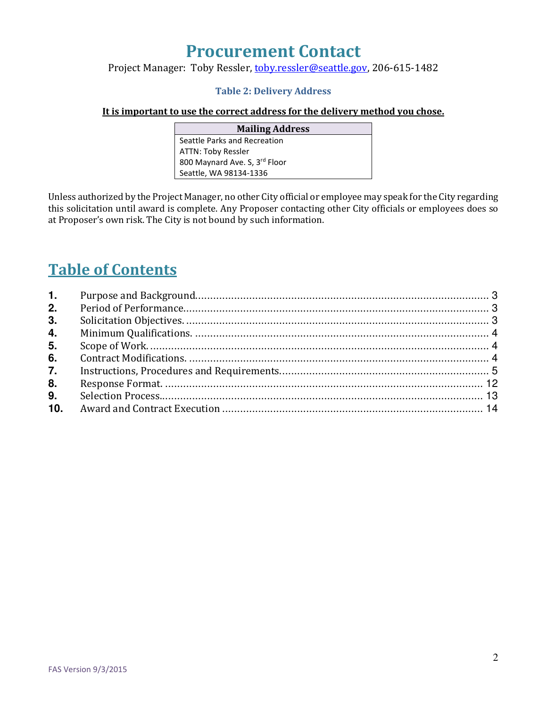# Procurement Contact

#### Project Manager: Toby Ressler, toby.ressler@seattle.gov, 206-615-1482

#### Table 2: Delivery Address

#### It is important to use the correct address for the delivery method you chose.

| <b>Mailing Address</b>        |  |  |  |
|-------------------------------|--|--|--|
| Seattle Parks and Recreation  |  |  |  |
| <b>ATTN: Toby Ressler</b>     |  |  |  |
| 800 Maynard Ave. S, 3rd Floor |  |  |  |
| Seattle, WA 98134-1336        |  |  |  |

Unless authorized by the Project Manager, no other City official or employee may speak for the City regarding this solicitation until award is complete. Any Proposer contacting other City officials or employees does so at Proposer's own risk. The City is not bound by such information.

# Table of Contents

| 2. |  |
|----|--|
| 3. |  |
| 4. |  |
| 5. |  |
| 6. |  |
| 7. |  |
| 8. |  |
| 9. |  |
|    |  |
|    |  |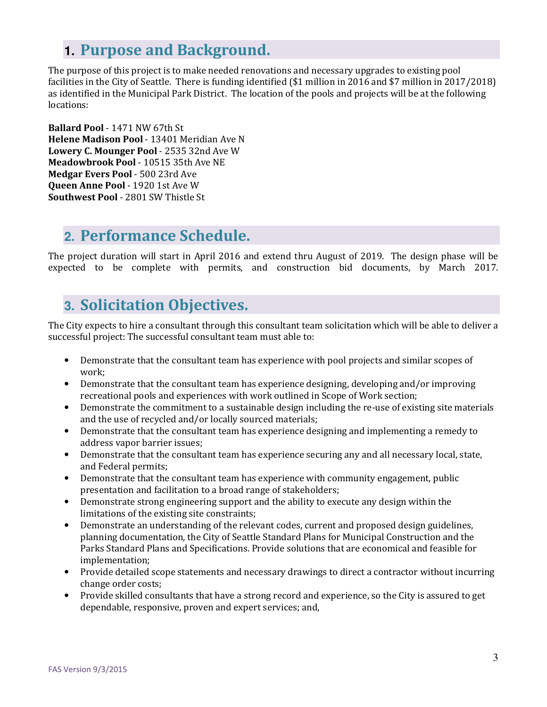### **1. Purpose and Background.**

The purpose of this project is to make needed renovations and necessary upgrades to existing pool facilities in the City of Seattle. There is funding identified (\$1 million in 2016 and \$7 million in 2017/2018) as identified in the Municipal Park District. The location of the pools and projects will be at the following locations:

Ballard Pool - 1471 NW 67th St Helene Madison Pool - 13401 Meridian Ave N Lowery C. Mounger Pool - 2535 32nd Ave W Meadowbrook Pool - 10515 35th Ave NE Medgar Evers Pool - 500 23rd Ave Queen Anne Pool - 1920 1st Ave W Southwest Pool - 2801 SW Thistle St

### **2.** Performance Schedule.

The project duration will start in April 2016 and extend thru August of 2019. The design phase will be expected to be complete with permits, and construction bid documents, by March 2017.

## **3.** Solicitation Objectives.

The City expects to hire a consultant through this consultant team solicitation which will be able to deliver a successful project: The successful consultant team must able to:

- Demonstrate that the consultant team has experience with pool projects and similar scopes of work;
- Demonstrate that the consultant team has experience designing, developing and/or improving recreational pools and experiences with work outlined in Scope of Work section;
- Demonstrate the commitment to a sustainable design including the re-use of existing site materials and the use of recycled and/or locally sourced materials;
- Demonstrate that the consultant team has experience designing and implementing a remedy to address vapor barrier issues;
- Demonstrate that the consultant team has experience securing any and all necessary local, state, and Federal permits;
- Demonstrate that the consultant team has experience with community engagement, public presentation and facilitation to a broad range of stakeholders;
- Demonstrate strong engineering support and the ability to execute any design within the limitations of the existing site constraints;
- Demonstrate an understanding of the relevant codes, current and proposed design guidelines, planning documentation, the City of Seattle Standard Plans for Municipal Construction and the Parks Standard Plans and Specifications. Provide solutions that are economical and feasible for implementation;
- Provide detailed scope statements and necessary drawings to direct a contractor without incurring change order costs;
- Provide skilled consultants that have a strong record and experience, so the City is assured to get dependable, responsive, proven and expert services; and,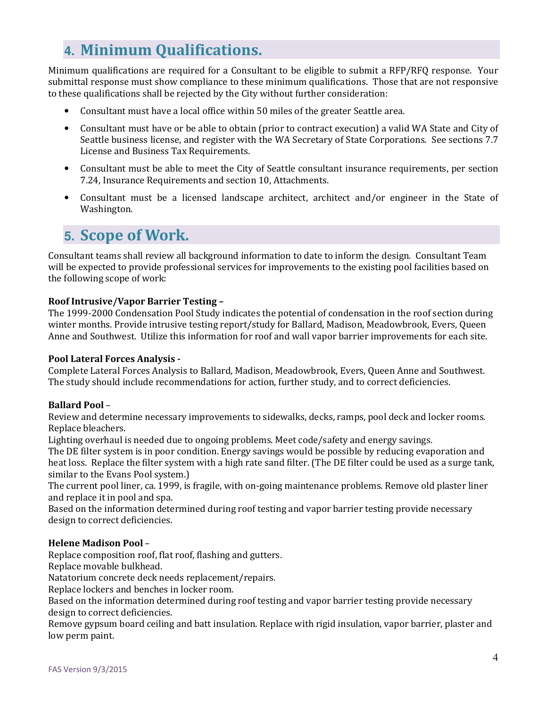## **4.** Minimum Qualifications.

Minimum qualifications are required for a Consultant to be eligible to submit a RFP/RFQ response. Your submittal response must show compliance to these minimum qualifications. Those that are not responsive to these qualifications shall be rejected by the City without further consideration:

- Consultant must have a local office within 50 miles of the greater Seattle area.
- Consultant must have or be able to obtain (prior to contract execution) a valid WA State and City of Seattle business license, and register with the WA Secretary of State Corporations. See sections 7.7 License and Business Tax Requirements.
- Consultant must be able to meet the City of Seattle consultant insurance requirements, per section 7.24, Insurance Requirements and section 10, Attachments.
- Consultant must be a licensed landscape architect, architect and/or engineer in the State of Washington.

## **5. Scope of Work.**

Consultant teams shall review all background information to date to inform the design. Consultant Team will be expected to provide professional services for improvements to the existing pool facilities based on the following scope of work:

#### Roof Intrusive/Vapor Barrier Testing -

The 1999-2000 Condensation Pool Study indicates the potential of condensation in the roof section during winter months. Provide intrusive testing report/study for Ballard, Madison, Meadowbrook, Evers, Queen Anne and Southwest. Utilize this information for roof and wall vapor barrier improvements for each site.

#### Pool Lateral Forces Analysis -

Complete Lateral Forces Analysis to Ballard, Madison, Meadowbrook, Evers, Queen Anne and Southwest. The study should include recommendations for action, further study, and to correct deficiencies.

#### Ballard Pool –

Review and determine necessary improvements to sidewalks, decks, ramps, pool deck and locker rooms. Replace bleachers.

Lighting overhaul is needed due to ongoing problems. Meet code/safety and energy savings.

The DE filter system is in poor condition. Energy savings would be possible by reducing evaporation and heat loss. Replace the filter system with a high rate sand filter. (The DE filter could be used as a surge tank, similar to the Evans Pool system.)

The current pool liner, ca. 1999, is fragile, with on-going maintenance problems. Remove old plaster liner and replace it in pool and spa.

Based on the information determined during roof testing and vapor barrier testing provide necessary design to correct deficiencies.

#### Helene Madison Pool -

Replace composition roof, flat roof, flashing and gutters.

Replace movable bulkhead.

Natatorium concrete deck needs replacement/repairs.

Replace lockers and benches in locker room.

Based on the information determined during roof testing and vapor barrier testing provide necessary design to correct deficiencies.

Remove gypsum board ceiling and batt insulation. Replace with rigid insulation, vapor barrier, plaster and low perm paint.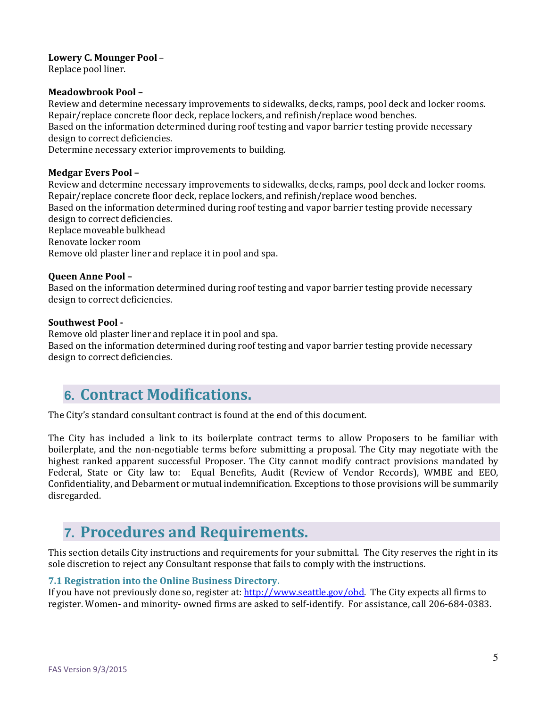#### Lowery C. Mounger Pool –

Replace pool liner.

#### Meadowbrook Pool –

Review and determine necessary improvements to sidewalks, decks, ramps, pool deck and locker rooms. Repair/replace concrete floor deck, replace lockers, and refinish/replace wood benches. Based on the information determined during roof testing and vapor barrier testing provide necessary design to correct deficiencies. Determine necessary exterior improvements to building.

#### Medgar Evers Pool –

Review and determine necessary improvements to sidewalks, decks, ramps, pool deck and locker rooms. Repair/replace concrete floor deck, replace lockers, and refinish/replace wood benches. Based on the information determined during roof testing and vapor barrier testing provide necessary design to correct deficiencies. Replace moveable bulkhead Renovate locker room Remove old plaster liner and replace it in pool and spa.

#### Queen Anne Pool –

Based on the information determined during roof testing and vapor barrier testing provide necessary design to correct deficiencies.

#### Southwest Pool -

Remove old plaster liner and replace it in pool and spa.

Based on the information determined during roof testing and vapor barrier testing provide necessary design to correct deficiencies.

### **6.** Contract Modifications.

The City's standard consultant contract is found at the end of this document.

The City has included a link to its boilerplate contract terms to allow Proposers to be familiar with boilerplate, and the non-negotiable terms before submitting a proposal. The City may negotiate with the highest ranked apparent successful Proposer. The City cannot modify contract provisions mandated by Federal, State or City law to: Equal Benefits, Audit (Review of Vendor Records), WMBE and EEO, Confidentiality, and Debarment or mutual indemnification. Exceptions to those provisions will be summarily disregarded.

## **7.** Procedures and Requirements.

This section details City instructions and requirements for your submittal. The City reserves the right in its sole discretion to reject any Consultant response that fails to comply with the instructions.

#### 7.1 Registration into the Online Business Directory.

If you have not previously done so, register at: http://www.seattle.gov/obd. The City expects all firms to register. Women- and minority- owned firms are asked to self-identify. For assistance, call 206-684-0383.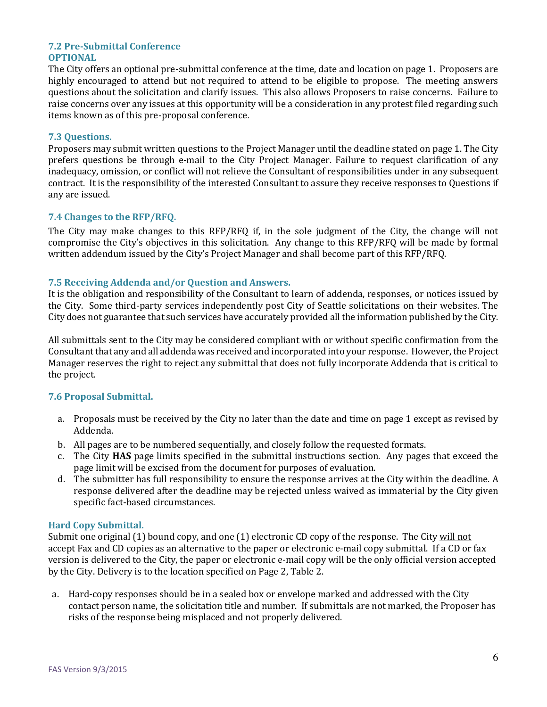#### 7.2 Pre-Submittal Conference OPTIONAL

The City offers an optional pre-submittal conference at the time, date and location on page 1. Proposers are highly encouraged to attend but not required to attend to be eligible to propose. The meeting answers questions about the solicitation and clarify issues. This also allows Proposers to raise concerns. Failure to raise concerns over any issues at this opportunity will be a consideration in any protest filed regarding such items known as of this pre-proposal conference.

#### 7.3 Questions.

Proposers may submit written questions to the Project Manager until the deadline stated on page 1. The City prefers questions be through e-mail to the City Project Manager. Failure to request clarification of any inadequacy, omission, or conflict will not relieve the Consultant of responsibilities under in any subsequent contract. It is the responsibility of the interested Consultant to assure they receive responses to Questions if any are issued.

#### 7.4 Changes to the RFP/RFQ.

The City may make changes to this RFP/RFQ if, in the sole judgment of the City, the change will not compromise the City's objectives in this solicitation. Any change to this RFP/RFQ will be made by formal written addendum issued by the City's Project Manager and shall become part of this RFP/RFQ.

#### 7.5 Receiving Addenda and/or Question and Answers.

It is the obligation and responsibility of the Consultant to learn of addenda, responses, or notices issued by the City. Some third-party services independently post City of Seattle solicitations on their websites. The City does not guarantee that such services have accurately provided all the information published by the City.

All submittals sent to the City may be considered compliant with or without specific confirmation from the Consultant that any and all addenda was received and incorporated into your response. However, the Project Manager reserves the right to reject any submittal that does not fully incorporate Addenda that is critical to the project.

#### 7.6 Proposal Submittal.

- a. Proposals must be received by the City no later than the date and time on page 1 except as revised by Addenda.
- b. All pages are to be numbered sequentially, and closely follow the requested formats.
- c. The City HAS page limits specified in the submittal instructions section. Any pages that exceed the page limit will be excised from the document for purposes of evaluation.
- d. The submitter has full responsibility to ensure the response arrives at the City within the deadline. A response delivered after the deadline may be rejected unless waived as immaterial by the City given specific fact-based circumstances.

#### Hard Copy Submittal.

Submit one original (1) bound copy, and one (1) electronic CD copy of the response. The City will not accept Fax and CD copies as an alternative to the paper or electronic e-mail copy submittal. If a CD or fax version is delivered to the City, the paper or electronic e-mail copy will be the only official version accepted by the City. Delivery is to the location specified on Page 2, Table 2.

a. Hard-copy responses should be in a sealed box or envelope marked and addressed with the City contact person name, the solicitation title and number. If submittals are not marked, the Proposer has risks of the response being misplaced and not properly delivered.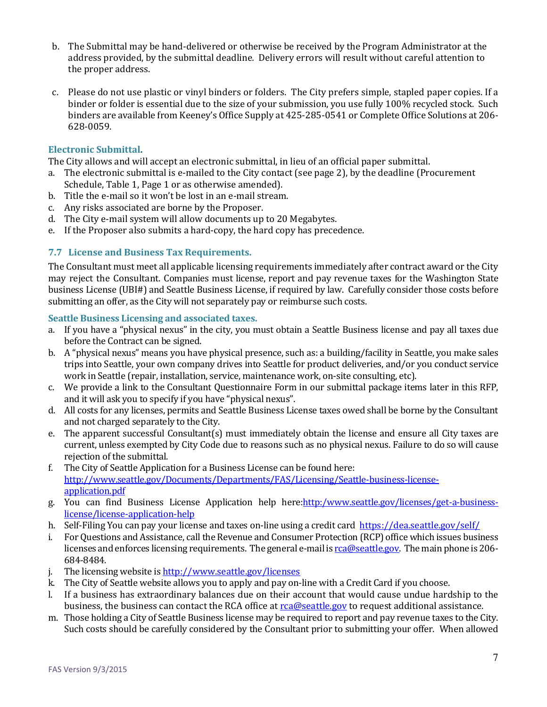- b. The Submittal may be hand-delivered or otherwise be received by the Program Administrator at the address provided, by the submittal deadline. Delivery errors will result without careful attention to the proper address.
- c. Please do not use plastic or vinyl binders or folders. The City prefers simple, stapled paper copies. If a binder or folder is essential due to the size of your submission, you use fully 100% recycled stock. Such binders are available from Keeney's Office Supply at 425-285-0541 or Complete Office Solutions at 206- 628-0059.

#### Electronic Submittal.

The City allows and will accept an electronic submittal, in lieu of an official paper submittal.

- a. The electronic submittal is e-mailed to the City contact (see page 2), by the deadline (Procurement Schedule, Table 1, Page 1 or as otherwise amended).
- b. Title the e-mail so it won't be lost in an e-mail stream.
- c. Any risks associated are borne by the Proposer.
- d. The City e-mail system will allow documents up to 20 Megabytes.
- e. If the Proposer also submits a hard-copy, the hard copy has precedence.

#### 7.7 License and Business Tax Requirements.

The Consultant must meet all applicable licensing requirements immediately after contract award or the City may reject the Consultant. Companies must license, report and pay revenue taxes for the Washington State business License (UBI#) and Seattle Business License, if required by law. Carefully consider those costs before submitting an offer, as the City will not separately pay or reimburse such costs.

#### Seattle Business Licensing and associated taxes.

- a. If you have a "physical nexus" in the city, you must obtain a Seattle Business license and pay all taxes due before the Contract can be signed.
- b. A "physical nexus" means you have physical presence, such as: a building/facility in Seattle, you make sales trips into Seattle, your own company drives into Seattle for product deliveries, and/or you conduct service work in Seattle (repair, installation, service, maintenance work, on-site consulting, etc).
- c. We provide a link to the Consultant Questionnaire Form in our submittal package items later in this RFP, and it will ask you to specify if you have "physical nexus".
- d. All costs for any licenses, permits and Seattle Business License taxes owed shall be borne by the Consultant and not charged separately to the City.
- e. The apparent successful Consultant(s) must immediately obtain the license and ensure all City taxes are current, unless exempted by City Code due to reasons such as no physical nexus. Failure to do so will cause rejection of the submittal.
- f. The City of Seattle Application for a Business License can be found here: http://www.seattle.gov/Documents/Departments/FAS/Licensing/Seattle-business-licenseapplication.pdf
- g. You can find Business License Application help here:**http:/www.seattle.gov/licenses/get-a-business**license/license-application-help
- h. Self-Filing You can pay your license and taxes on-line using a credit card https://dea.seattle.gov/self/
- i. For Questions and Assistance, call the Revenue and Consumer Protection (RCP) office which issues business licenses and enforces licensing requirements. The general e-mail is real estatle.gov. The main phone is 206-684-8484.
- j. The licensing website is http://www.seattle.gov/licenses
- k. The City of Seattle website allows you to apply and pay on-line with a Credit Card if you choose.
- l. If a business has extraordinary balances due on their account that would cause undue hardship to the business, the business can contact the RCA office at rca@seattle.gov to request additional assistance.
- m. Those holding a City of Seattle Business license may be required to report and pay revenue taxes to the City. Such costs should be carefully considered by the Consultant prior to submitting your offer. When allowed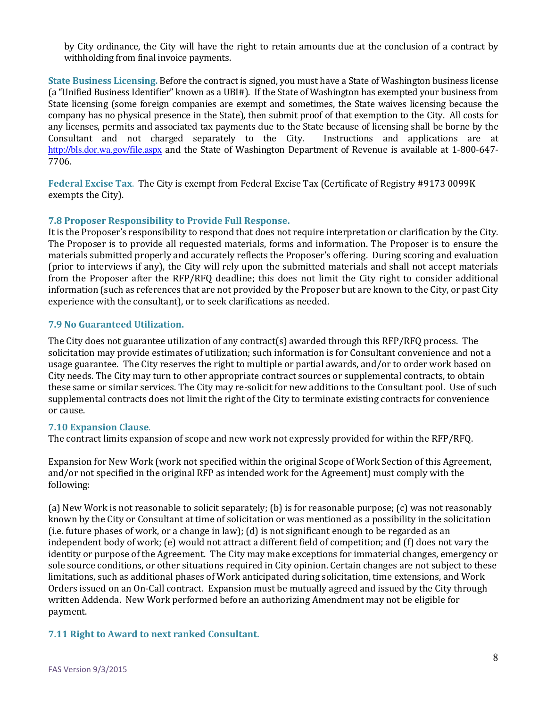by City ordinance, the City will have the right to retain amounts due at the conclusion of a contract by withholding from final invoice payments.

State Business Licensing. Before the contract is signed, you must have a State of Washington business license (a "Unified Business Identifier" known as a UBI#). If the State of Washington has exempted your business from State licensing (some foreign companies are exempt and sometimes, the State waives licensing because the company has no physical presence in the State), then submit proof of that exemption to the City. All costs for any licenses, permits and associated tax payments due to the State because of licensing shall be borne by the Consultant and not charged separately to the City. Instructions and applications are at http://bls.dor.wa.gov/file.aspx and the State of Washington Department of Revenue is available at 1-800-647- 7706.

Federal Excise Tax. The City is exempt from Federal Excise Tax (Certificate of Registry #9173 0099K exempts the City).

#### 7.8 Proposer Responsibility to Provide Full Response.

It is the Proposer's responsibility to respond that does not require interpretation or clarification by the City. The Proposer is to provide all requested materials, forms and information. The Proposer is to ensure the materials submitted properly and accurately reflects the Proposer's offering. During scoring and evaluation (prior to interviews if any), the City will rely upon the submitted materials and shall not accept materials from the Proposer after the RFP/RFQ deadline; this does not limit the City right to consider additional information (such as references that are not provided by the Proposer but are known to the City, or past City experience with the consultant), or to seek clarifications as needed.

#### 7.9 No Guaranteed Utilization.

The City does not guarantee utilization of any contract(s) awarded through this RFP/RFQ process. The solicitation may provide estimates of utilization; such information is for Consultant convenience and not a usage guarantee. The City reserves the right to multiple or partial awards, and/or to order work based on City needs. The City may turn to other appropriate contract sources or supplemental contracts, to obtain these same or similar services. The City may re-solicit for new additions to the Consultant pool. Use of such supplemental contracts does not limit the right of the City to terminate existing contracts for convenience or cause.

#### 7.10 Expansion Clause.

The contract limits expansion of scope and new work not expressly provided for within the RFP/RFQ.

Expansion for New Work (work not specified within the original Scope of Work Section of this Agreement, and/or not specified in the original RFP as intended work for the Agreement) must comply with the following:

(a) New Work is not reasonable to solicit separately; (b) is for reasonable purpose; (c) was not reasonably known by the City or Consultant at time of solicitation or was mentioned as a possibility in the solicitation (i.e. future phases of work, or a change in law); (d) is not significant enough to be regarded as an independent body of work; (e) would not attract a different field of competition; and (f) does not vary the identity or purpose of the Agreement. The City may make exceptions for immaterial changes, emergency or sole source conditions, or other situations required in City opinion. Certain changes are not subject to these limitations, such as additional phases of Work anticipated during solicitation, time extensions, and Work Orders issued on an On-Call contract. Expansion must be mutually agreed and issued by the City through written Addenda. New Work performed before an authorizing Amendment may not be eligible for payment.

#### 7.11 Right to Award to next ranked Consultant.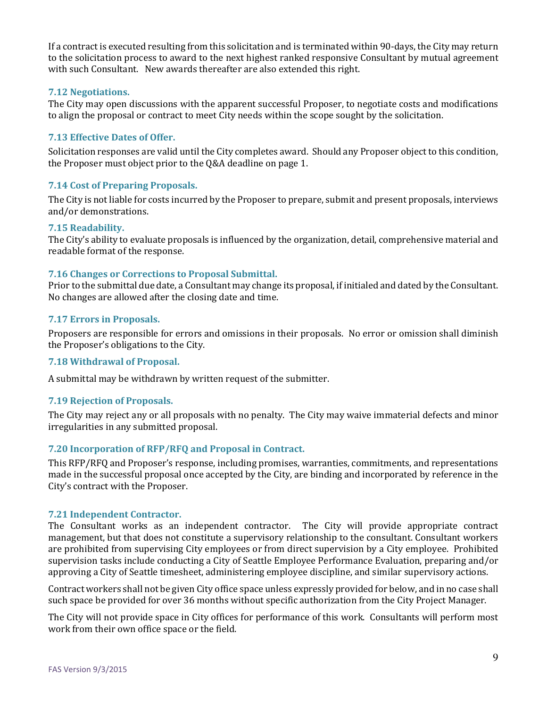If a contract is executed resulting from this solicitation and is terminated within 90-days, the City may return to the solicitation process to award to the next highest ranked responsive Consultant by mutual agreement with such Consultant. New awards thereafter are also extended this right.

#### 7.12 Negotiations.

The City may open discussions with the apparent successful Proposer, to negotiate costs and modifications to align the proposal or contract to meet City needs within the scope sought by the solicitation.

#### 7.13 Effective Dates of Offer.

Solicitation responses are valid until the City completes award. Should any Proposer object to this condition, the Proposer must object prior to the Q&A deadline on page 1.

#### 7.14 Cost of Preparing Proposals.

The City is not liable for costs incurred by the Proposer to prepare, submit and present proposals, interviews and/or demonstrations.

#### 7.15 Readability.

The City's ability to evaluate proposals is influenced by the organization, detail, comprehensive material and readable format of the response.

#### 7.16 Changes or Corrections to Proposal Submittal.

Prior to the submittal due date, a Consultant may change its proposal, if initialed and dated by the Consultant. No changes are allowed after the closing date and time.

#### 7.17 Errors in Proposals.

Proposers are responsible for errors and omissions in their proposals. No error or omission shall diminish the Proposer's obligations to the City.

#### 7.18 Withdrawal of Proposal.

A submittal may be withdrawn by written request of the submitter.

#### 7.19 Rejection of Proposals.

The City may reject any or all proposals with no penalty. The City may waive immaterial defects and minor irregularities in any submitted proposal.

#### 7.20 Incorporation of RFP/RFQ and Proposal in Contract.

This RFP/RFQ and Proposer's response, including promises, warranties, commitments, and representations made in the successful proposal once accepted by the City, are binding and incorporated by reference in the City's contract with the Proposer.

#### 7.21 Independent Contractor.

The Consultant works as an independent contractor. The City will provide appropriate contract management, but that does not constitute a supervisory relationship to the consultant. Consultant workers are prohibited from supervising City employees or from direct supervision by a City employee. Prohibited supervision tasks include conducting a City of Seattle Employee Performance Evaluation, preparing and/or approving a City of Seattle timesheet, administering employee discipline, and similar supervisory actions.

Contract workers shall not be given City office space unless expressly provided for below, and in no case shall such space be provided for over 36 months without specific authorization from the City Project Manager.

The City will not provide space in City offices for performance of this work. Consultants will perform most work from their own office space or the field.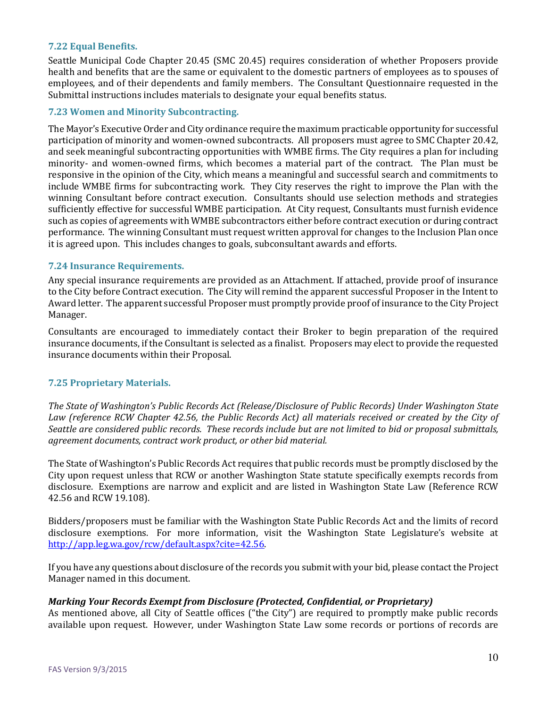#### 7.22 Equal Benefits.

Seattle Municipal Code Chapter 20.45 (SMC 20.45) requires consideration of whether Proposers provide health and benefits that are the same or equivalent to the domestic partners of employees as to spouses of employees, and of their dependents and family members. The Consultant Questionnaire requested in the Submittal instructions includes materials to designate your equal benefits status.

#### 7.23 Women and Minority Subcontracting.

The Mayor's Executive Order and City ordinance require the maximum practicable opportunity for successful participation of minority and women-owned subcontracts. All proposers must agree to SMC Chapter 20.42, and seek meaningful subcontracting opportunities with WMBE firms. The City requires a plan for including minority- and women-owned firms, which becomes a material part of the contract. The Plan must be responsive in the opinion of the City, which means a meaningful and successful search and commitments to include WMBE firms for subcontracting work. They City reserves the right to improve the Plan with the winning Consultant before contract execution. Consultants should use selection methods and strategies sufficiently effective for successful WMBE participation. At City request, Consultants must furnish evidence such as copies of agreements with WMBE subcontractors either before contract execution or during contract performance. The winning Consultant must request written approval for changes to the Inclusion Plan once it is agreed upon. This includes changes to goals, subconsultant awards and efforts.

#### 7.24 Insurance Requirements.

Any special insurance requirements are provided as an Attachment. If attached, provide proof of insurance to the City before Contract execution. The City will remind the apparent successful Proposer in the Intent to Award letter. The apparent successful Proposer must promptly provide proof of insurance to the City Project Manager.

Consultants are encouraged to immediately contact their Broker to begin preparation of the required insurance documents, if the Consultant is selected as a finalist. Proposers may elect to provide the requested insurance documents within their Proposal.

#### 7.25 Proprietary Materials.

The State of Washington's Public Records Act (Release/Disclosure of Public Records) Under Washington State Law (reference RCW Chapter 42.56, the Public Records Act) all materials received or created by the City of Seattle are considered public records. These records include but are not limited to bid or proposal submittals, agreement documents, contract work product, or other bid material.

The State of Washington's Public Records Act requires that public records must be promptly disclosed by the City upon request unless that RCW or another Washington State statute specifically exempts records from disclosure. Exemptions are narrow and explicit and are listed in Washington State Law (Reference RCW 42.56 and RCW 19.108).

Bidders/proposers must be familiar with the Washington State Public Records Act and the limits of record disclosure exemptions. For more information, visit the Washington State Legislature's website at http://app.leg.wa.gov/rcw/default.aspx?cite=42.56.

If you have any questions about disclosure of the records you submit with your bid, please contact the Project Manager named in this document.

#### Marking Your Records Exempt from Disclosure (Protected, Confidential, or Proprietary)

As mentioned above, all City of Seattle offices ("the City") are required to promptly make public records available upon request. However, under Washington State Law some records or portions of records are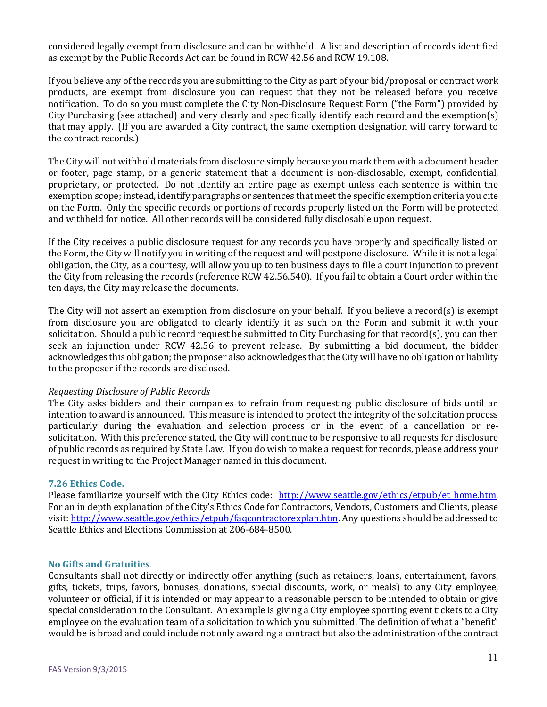considered legally exempt from disclosure and can be withheld. A list and description of records identified as exempt by the Public Records Act can be found in RCW 42.56 and RCW 19.108.

If you believe any of the records you are submitting to the City as part of your bid/proposal or contract work products, are exempt from disclosure you can request that they not be released before you receive notification. To do so you must complete the City Non-Disclosure Request Form ("the Form") provided by City Purchasing (see attached) and very clearly and specifically identify each record and the exemption(s) that may apply. (If you are awarded a City contract, the same exemption designation will carry forward to the contract records.)

The City will not withhold materials from disclosure simply because you mark them with a document header or footer, page stamp, or a generic statement that a document is non-disclosable, exempt, confidential, proprietary, or protected. Do not identify an entire page as exempt unless each sentence is within the exemption scope; instead, identify paragraphs or sentences that meet the specific exemption criteria you cite on the Form. Only the specific records or portions of records properly listed on the Form will be protected and withheld for notice. All other records will be considered fully disclosable upon request.

If the City receives a public disclosure request for any records you have properly and specifically listed on the Form, the City will notify you in writing of the request and will postpone disclosure. While it is not a legal obligation, the City, as a courtesy, will allow you up to ten business days to file a court injunction to prevent the City from releasing the records (reference RCW 42.56.540). If you fail to obtain a Court order within the ten days, the City may release the documents.

The City will not assert an exemption from disclosure on your behalf. If you believe a record(s) is exempt from disclosure you are obligated to clearly identify it as such on the Form and submit it with your solicitation. Should a public record request be submitted to City Purchasing for that record(s), you can then seek an injunction under RCW 42.56 to prevent release. By submitting a bid document, the bidder acknowledges this obligation; the proposer also acknowledges that the City will have no obligation or liability to the proposer if the records are disclosed.

#### Requesting Disclosure of Public Records

The City asks bidders and their companies to refrain from requesting public disclosure of bids until an intention to award is announced. This measure is intended to protect the integrity of the solicitation process particularly during the evaluation and selection process or in the event of a cancellation or resolicitation. With this preference stated, the City will continue to be responsive to all requests for disclosure of public records as required by State Law. If you do wish to make a request for records, please address your request in writing to the Project Manager named in this document.

#### 7.26 Ethics Code.

Please familiarize yourself with the City Ethics code: http://www.seattle.gov/ethics/etpub/et\_home.htm. For an in depth explanation of the City's Ethics Code for Contractors, Vendors, Customers and Clients, please visit: http://www.seattle.gov/ethics/etpub/faqcontractorexplan.htm. Any questions should be addressed to Seattle Ethics and Elections Commission at 206-684-8500.

#### No Gifts and Gratuities.

Consultants shall not directly or indirectly offer anything (such as retainers, loans, entertainment, favors, gifts, tickets, trips, favors, bonuses, donations, special discounts, work, or meals) to any City employee, volunteer or official, if it is intended or may appear to a reasonable person to be intended to obtain or give special consideration to the Consultant. An example is giving a City employee sporting event tickets to a City employee on the evaluation team of a solicitation to which you submitted. The definition of what a "benefit" would be is broad and could include not only awarding a contract but also the administration of the contract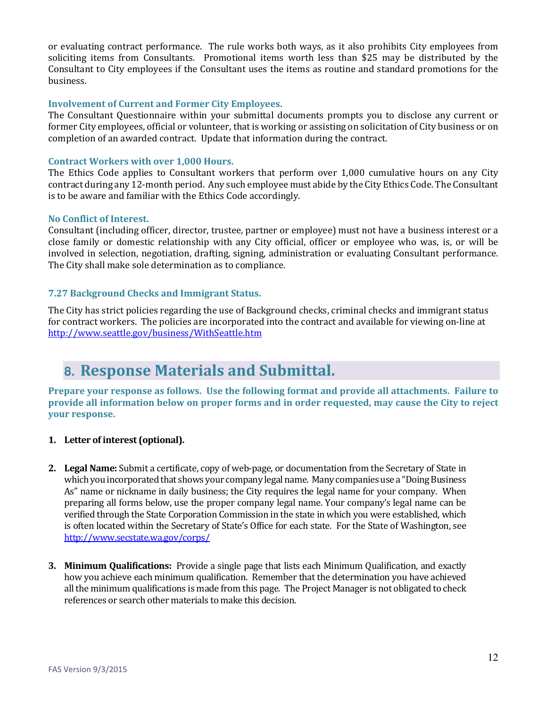or evaluating contract performance. The rule works both ways, as it also prohibits City employees from soliciting items from Consultants. Promotional items worth less than \$25 may be distributed by the Consultant to City employees if the Consultant uses the items as routine and standard promotions for the business.

#### Involvement of Current and Former City Employees.

The Consultant Questionnaire within your submittal documents prompts you to disclose any current or former City employees, official or volunteer, that is working or assisting on solicitation of City business or on completion of an awarded contract. Update that information during the contract.

#### Contract Workers with over 1,000 Hours.

The Ethics Code applies to Consultant workers that perform over 1,000 cumulative hours on any City contract during any 12-month period. Any such employee must abide by the City Ethics Code. The Consultant is to be aware and familiar with the Ethics Code accordingly.

#### No Conflict of Interest.

Consultant (including officer, director, trustee, partner or employee) must not have a business interest or a close family or domestic relationship with any City official, officer or employee who was, is, or will be involved in selection, negotiation, drafting, signing, administration or evaluating Consultant performance. The City shall make sole determination as to compliance.

#### 7.27 Background Checks and Immigrant Status.

The City has strict policies regarding the use of Background checks, criminal checks and immigrant status for contract workers. The policies are incorporated into the contract and available for viewing on-line at http://www.seattle.gov/business/WithSeattle.htm

### **8.** Response Materials and Submittal.

Prepare your response as follows. Use the following format and provide all attachments. Failure to provide all information below on proper forms and in order requested, may cause the City to reject your response.

#### 1. Letter of interest (optional).

- 2. Legal Name: Submit a certificate, copy of web-page, or documentation from the Secretary of State in which you incorporated that shows your company legal name. Many companies use a "Doing Business As" name or nickname in daily business; the City requires the legal name for your company. When preparing all forms below, use the proper company legal name. Your company's legal name can be verified through the State Corporation Commission in the state in which you were established, which is often located within the Secretary of State's Office for each state. For the State of Washington, see http://www.secstate.wa.gov/corps/
- **3. Minimum Qualifications:** Provide a single page that lists each Minimum Qualification, and exactly how you achieve each minimum qualification. Remember that the determination you have achieved all the minimum qualifications is made from this page. The Project Manager is not obligated to check references or search other materials to make this decision.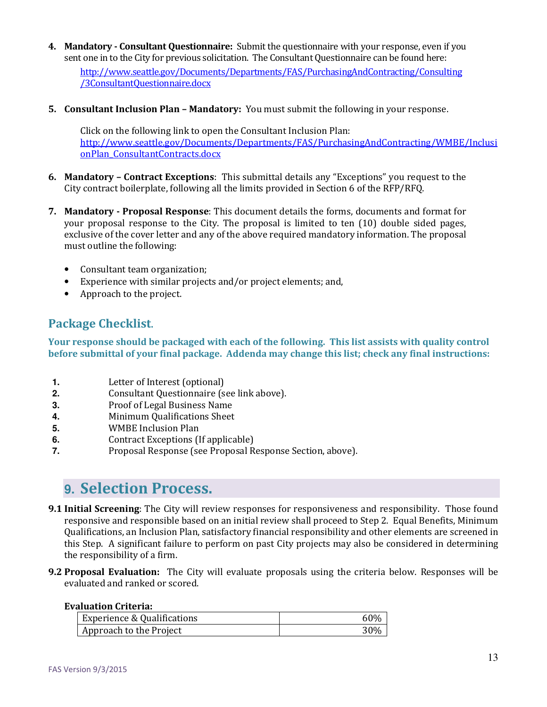4. Mandatory - Consultant Questionnaire: Submit the questionnaire with your response, even if you sent one in to the City for previous solicitation. The Consultant Questionnaire can be found here:

http://www.seattle.gov/Documents/Departments/FAS/PurchasingAndContracting/Consulting /3ConsultantQuestionnaire.docx

5. Consultant Inclusion Plan – Mandatory: You must submit the following in your response.

Click on the following link to open the Consultant Inclusion Plan: http://www.seattle.gov/Documents/Departments/FAS/PurchasingAndContracting/WMBE/Inclusi onPlan\_ConsultantContracts.docx

- 6. Mandatory Contract Exceptions: This submittal details any "Exceptions" you request to the City contract boilerplate, following all the limits provided in Section 6 of the RFP/RFQ.
- 7. Mandatory Proposal Response: This document details the forms, documents and format for your proposal response to the City. The proposal is limited to ten (10) double sided pages, exclusive of the cover letter and any of the above required mandatory information. The proposal must outline the following:
	- Consultant team organization;
	- Experience with similar projects and/or project elements; and,
	- Approach to the project.

### Package Checklist.

Your response should be packaged with each of the following. This list assists with quality control before submittal of your final package. Addenda may change this list; check any final instructions:

- **1.** Letter of Interest (optional)
- **2.** Consultant Questionnaire (see link above).
- **3.** Proof of Legal Business Name
- **4.** Minimum Qualifications Sheet
- **5.** WMBE Inclusion Plan
- **6.** Contract Exceptions (If applicable)
- **7.** Proposal Response (see Proposal Response Section, above).

### **9.** Selection Process.

- **9.1 Initial Screening**: The City will review responses for responsiveness and responsibility. Those found responsive and responsible based on an initial review shall proceed to Step 2. Equal Benefits, Minimum Qualifications, an Inclusion Plan, satisfactory financial responsibility and other elements are screened in this Step. A significant failure to perform on past City projects may also be considered in determining the responsibility of a firm.
- 9.2 Proposal Evaluation: The City will evaluate proposals using the criteria below. Responses will be evaluated and ranked or scored.

#### Evaluation Criteria:

| <b>Experience &amp; Qualifications</b> | -60% |
|----------------------------------------|------|
| Approach to the Project                | 30%  |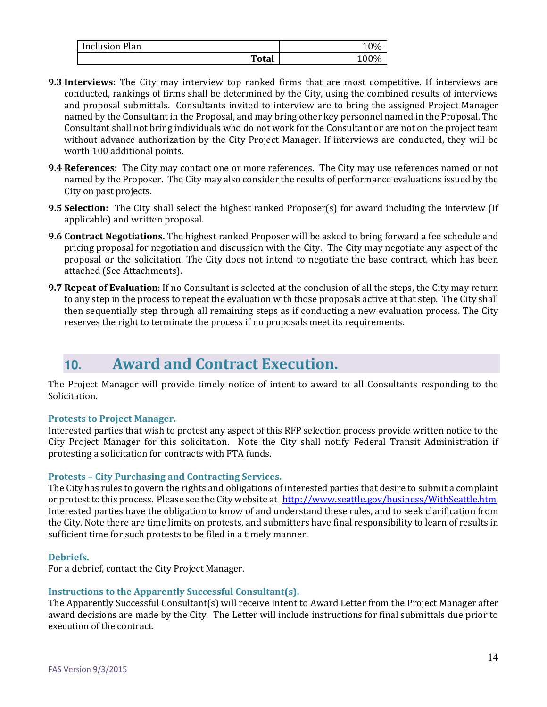| <b>Inclusion Plan</b> |              |  |
|-----------------------|--------------|--|
|                       | <b>Total</b> |  |

- **9.3 Interviews:** The City may interview top ranked firms that are most competitive. If interviews are conducted, rankings of firms shall be determined by the City, using the combined results of interviews and proposal submittals. Consultants invited to interview are to bring the assigned Project Manager named by the Consultant in the Proposal, and may bring other key personnel named in the Proposal. The Consultant shall not bring individuals who do not work for the Consultant or are not on the project team without advance authorization by the City Project Manager. If interviews are conducted, they will be worth 100 additional points.
- **9.4 References:** The City may contact one or more references. The City may use references named or not named by the Proposer. The City may also consider the results of performance evaluations issued by the City on past projects.
- **9.5 Selection:** The City shall select the highest ranked Proposer(s) for award including the interview (If applicable) and written proposal.
- 9.6 Contract Negotiations. The highest ranked Proposer will be asked to bring forward a fee schedule and pricing proposal for negotiation and discussion with the City. The City may negotiate any aspect of the proposal or the solicitation. The City does not intend to negotiate the base contract, which has been attached (See Attachments).
- 9.7 Repeat of Evaluation: If no Consultant is selected at the conclusion of all the steps, the City may return to any step in the process to repeat the evaluation with those proposals active at that step. The City shall then sequentially step through all remaining steps as if conducting a new evaluation process. The City reserves the right to terminate the process if no proposals meet its requirements.

### **10.** Award and Contract Execution.

The Project Manager will provide timely notice of intent to award to all Consultants responding to the Solicitation.

#### Protests to Project Manager.

Interested parties that wish to protest any aspect of this RFP selection process provide written notice to the City Project Manager for this solicitation. Note the City shall notify Federal Transit Administration if protesting a solicitation for contracts with FTA funds.

#### Protests – City Purchasing and Contracting Services.

The City has rules to govern the rights and obligations of interested parties that desire to submit a complaint or protest to this process. Please see the City website at http://www.seattle.gov/business/WithSeattle.htm. Interested parties have the obligation to know of and understand these rules, and to seek clarification from the City. Note there are time limits on protests, and submitters have final responsibility to learn of results in sufficient time for such protests to be filed in a timely manner.

#### Debriefs.

For a debrief, contact the City Project Manager.

#### Instructions to the Apparently Successful Consultant(s).

The Apparently Successful Consultant(s) will receive Intent to Award Letter from the Project Manager after award decisions are made by the City. The Letter will include instructions for final submittals due prior to execution of the contract.